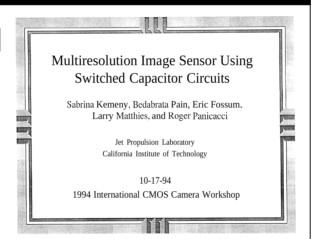#### Multiresolution Image Sensor Using Switched Capacitor Circuits

Sabrina Kemeny, Bedabrata Pain, Eric Fossum. Larry Matthies, and Roger Panicacci

> Jet Propulsion Laboratory California Institute of Technology

10-17-94 1994 International CMOS Camera Workshop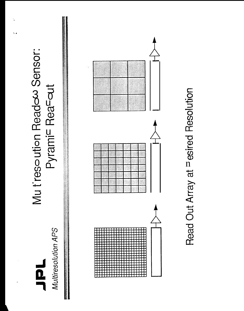#### Multiresolution APS HOL

### Mu tresoution Readow Sensor: Pyrami<sup>c</sup> Reacout

 $\mathbf{u}$  .



# Read Out Array at Pesired Resolution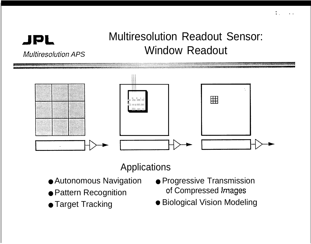#### **Multiresolution Readout Sensor: Window Readout**



#### Applications

- **Autonomous Navigation**
- Pattern Recognition
- Target Tracking

**JPL** 

**Multiresolution APS** 

- Progressive Transmission of Compressed Images
- Biological Vision Modeling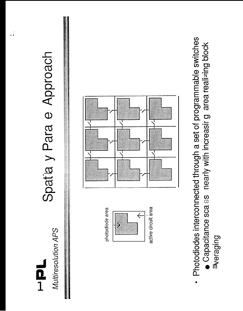#### Multiresolution APS ー<br>0<br>1

## Spatia y Para e Approach

**The Committee of the Committee Committee Committee Committee Committee Committee Committee Committee** 

photodiode area



active circuit area



- Photodiodes interconnected through a set of programmable switches • Capacitance sca as nearly with increasir g area realizing block

Buibeala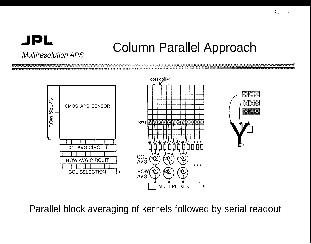#### **JPL Multiresolution APS**

#### **Column Parallel Approach**



Parallel block averaging of kernels followed by serial readout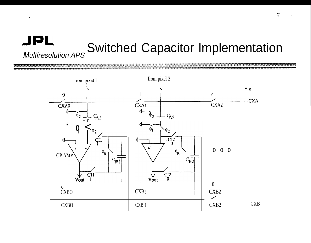#### JPL **Switched Capacitor Implementation Multiresolution APS**

 $\bullet$ 

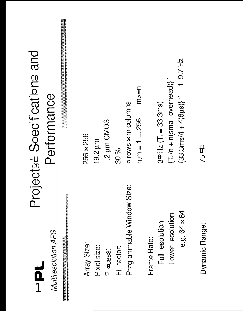### $\frac{1}{2}$

Multiresolution APS

**Contract of Security Assessment Property Contract** 

## Projectse Soecifications and Performance

Array Size:

P xel size:

P ocess:

Fi factor:

Prog ammable Window Size:

 $m \geq n$ 

 $n,m = 1 \dots,256$ 

a rows x m columns

2 um CMOS

30 %

256 x 256

 $19.2 \mu m$ 

e.g. 64 × 64 Full esolution Frame Rate:

Lower esolution

 $(33.3 \text{ms}/4 + 4(8 \text{µs})\cdot 1 = 1 9.7 \text{ Hz}$  $\{\mathsf T_{\sf f}/\mathsf n + \mathsf n(\mathsf{sma\ overhead})\}^{-1}$ 

 $3P = Hz$   $(T_f = 33.3ms)$ 

 $\frac{m}{75}$ 

Dynamic Range: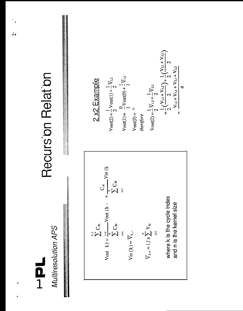#### Multiresolution APS  $\frac{1}{2}$

## Recursion Relation

Vout  $k$ ) =  $\frac{k!}{k}$  Vout ( $k - \frac{C_{Ai}}{k}$  Vin ( $k$ )<br> $\sum_{i=1}^{k} C_{Bi}$ where k is the cycle index and n is the kernel size  $\overline{V}_{k,n}=1\,/\,n\sum_{j=1}^n\,V_{kj}$  $\sum_{i=1}^{n-1} C_{Bi}$  $\operatorname{Vir}(k) = \overline{V}_{k,\circ}$ 

$$
2 \times 2 \text{ Example}
$$
  
\n
$$
V_{\text{out}(2)} = \frac{1}{2} V_{\text{out}(1)} + \frac{1}{2} V_{2.2}
$$
  
\n
$$
V_{\text{out}(0)} = \frac{0}{1} V_{\text{out}(0)} + \frac{1}{1} V_{1.2}
$$
  
\n
$$
V_{\text{out}(2)} = 0
$$
  
\n
$$
V_{\text{out}(2)} = \frac{1}{2} V_{1.2} + \frac{1}{2} V_{2.2}
$$
  
\n
$$
= \frac{1}{2} (V_{1.1} + V_{1.2}) + \frac{1}{2} (V_{2.1} + V_{2.2})
$$
  
\n
$$
= \frac{V_{1.1} + V_{1.2} + V_{2.1} + V_{2.2}}{4}
$$